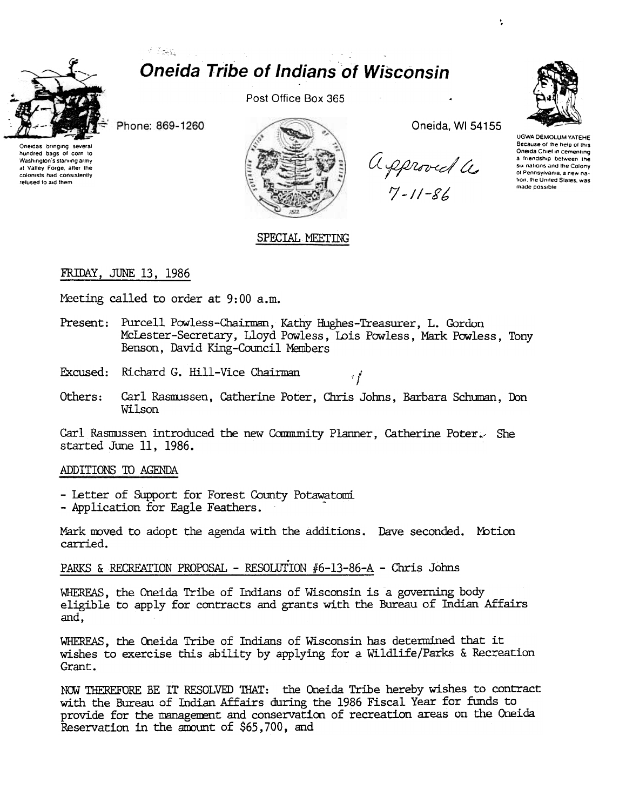

# Y Sac **Oneida Tribe of Indians of Wisconsin**

Phone: 869-1260

Oneidas bringing **Severa** hundred bags of corn to Washington's starving army at Valley Forge, after the colonists had consistently refused to aid them

Post Office Box 365



Oneida, WI 54155

approved a



**HGWA DEMOLUM VATELLE** Because of the help of this Oneida Chief in cementing a friendshin hetween the six nations and the Colony of Pennsylvania, a new nafron, the United States, was made possible

## SPECIAL MEETING

## FRIDAY, JUNE 13, 1986

Meeting called to order at 9:00 a.m.

- Present: Purcell Powless-Chairman, Kathy Hughes-Treasurer, L. Gordon McLester-Secretary, Lloyd Powless, Lois Powless, Mark Powless, Tony Benson, David King-Council Members
- Excused: Richard G. Hill-Vice Chairman
- Others: Carl Rasmussen, Catherine Poter, Chris Johns, Barbara Schuman, Don Wilson

 $\mathcal{L}^{\mathcal{A}}_{I}$ 

Carl Rasmussen introduced the new Community Planner, Catherine Poter. She started June 11, 1986.

### ADDITIONS TO AGENDA

- Letter of Support for Forest County Potawatomi
- Application for Eagle Feathers.

Mark moved to adopt the agenda with the additions. Dave seconded. Motion carried.

## PARKS & RECREATION PROPOSAL - RESOLUTION #6-13-86-A - Chris Johns

WHEREAS, the Oneida Tribe of Indians of Wisconsin is a governing body eligible to apply for contracts and grants with the Bureau of Indian Affairs and.

WHEREAS, the Oneida Tribe of Indians of Wisconsin has determined that it wishes to exercise this ability by applying for a Wildlife/Parks & Recreation Grant.

NOW THEREFORE BE IT RESOLVED THAT: the Oneida Tribe hereby wishes to contract with the Bureau of Indian Affairs during the 1986 Fiscal Year for funds to provide for the management and conservation of recreation areas on the Oneida Reservation in the amount of \$65,700, and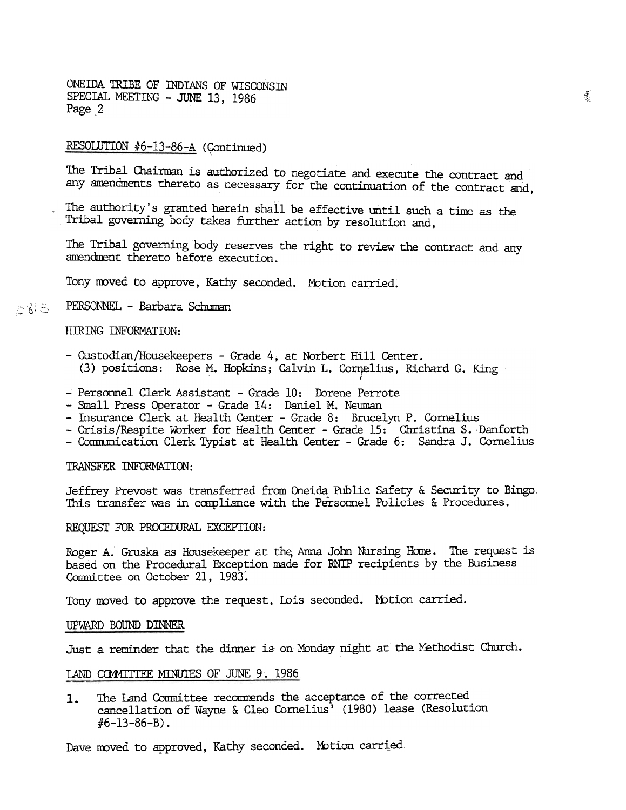ONE IDA TRIBE OF INDIANS OF WISCONSIN SPECIAL MEETING - JUNE 13, 1986 Page 2

#### RESOLUTION #6-13-86-A (Continued)

The Tribal Chairman is authorized to negotiate and execute the contract and any amendments thereto as necessary for the continuation of the contract and,

The authority's granted herein shall be effective until such a time as the Tribal governing body takes further action by resolution and,

The Tribal governing body reserves the right to review the contract and any amendment thereto before execution.

Tony moved to approve, Kathy seconded. Motion carried.

#### PERSONNEL - Barbara Schuman  $C8\%$

#### HIRING INFORMATION:

- Custodian/Housekeepers Grade 4, at Norbert Hill Center. (3) positions: Rose M. Hopkins; Calvin L. Cornelius, Richard G. King
- Personnel Clerk Assistant Grade 10: Dorene Perrote
- Small Press Operator Grade 14: Daniel M. Neuman
- Insurance Clerk at Health Center Grade 8: Brucelyn P. Cornelius
- Crisis/Respite Worker for Health Center Grade 15: Christina S. Danforth
- Communication Clerk Typist at Health Center Grade 6: Sandra J. Cornelius

#### TRANSFER INFORMATION:

Jeffrey Prevost was transferred from Oneida Public Safety & Security to Bingo. This transfer was in compliance with the Personnel Policies & Procedures.

#### REQUEST FOR PROCEDURAL EXCEPTION:

Roger A. Gruska as Housekeeper at the Arma John Nursing Home. The request is based on the Procedural Exception made for RNIP recipients by the Business Committee on October 21, 1983.

Tony moved to approve the request, Lois seconded. Motion carried.

#### UPWARD BOUND DINNER

Just a reminder that the dinner is on Monday night at the Methodist Church.

#### LAND COMMITTEE MINUTES OF JUNE 9, 1986

The Land Committee recommends the acceptance of the corrected 1. cancellation of Wayne & Cleo Cornelius<sup>7</sup> (1980) lease (Resolution  $#6 - 13 - 86 - B$ .

Dave moved to approved, Kathy seconded. Motion carried.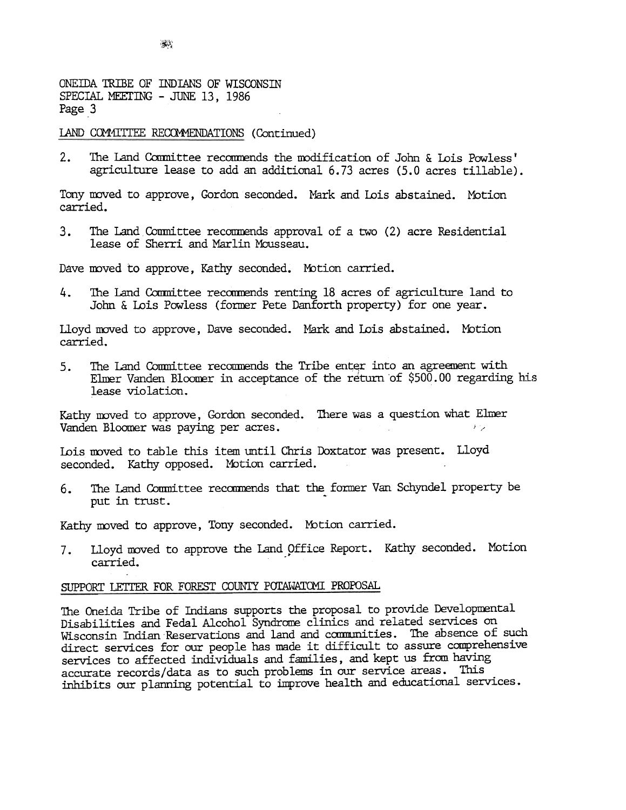ONEillA 1RIBE OF INDIANS OF WISCONSIN SPECIAL MEETING - JUNE 13, 1986 Page 3

#### LAND COMMITTEE RECOMMENDATIONS (Continued)

2. The Land Committee recommends the modification of John & Lois Powless' agriculture lease to add an additional 6.73 acres (5.0 acres tillable).

Tony moved to approve, Gordon seconded. Mark and Lois abstained. Motion carried.

3. The Land Committee recommends approval of a two (2) acre Residential lease of Sherri and Marlin Mousseau.

Dave moved to approve, Kathy seconded. Motion carried.

4. The Land Committee recommends renting 18 acres of agriculture land to John  $\&$  Lois Powless (former Pete Danforth property) for one year.

Lloyd moved to approve, Dave seconded. Mark and Lois abstained. Motion carried.

 $5.$ The Land Committee recommends the Tribe enter into an agreement with Elmer Vanden Bloomer in acceptance of the return of  $$500.00$  regarding his lease violation.

Vanden Bloomer was paying per acres. Kathy moved to approve, Gordon seconded. There was a question what Elmer i -'

Lois moved to table this item until Chris Doxtator was present. Lloyd seconded. Kathy opposed. Motion carried.

The Land Committee recommends that the former Van Schyndel property be put in trust.

7. Lloyd moved to approve the Land Office Report. Kathy seconded. Motion carried.

### SUPPORT LETTER FOR FOREST COUNTY POTAWATOMI PROPOSAL

Kathy moved to approve, Gordon seconded<br>Vanden Bloomer was paying per acres.<br>Lois moved to table this item until Chr:<br>seconded. Kathy opposed. Motion carric<br>6. The Land Committee recommends that<br>put in trust.<br>Kathy moved t Kathy moved to approve, Tony seconded. Motion carrie 7. Lloyd moved to approve the Land Office Report.<br>
carried.<br>
SUPPORT LETTER FOR FOREST COUNTY POTAWATOMI PROPOSAL<br>
The Oneida Tribe of Indians supports the proposal to<br> The Oneida Tribe of Indians supports the proposal to provide Developmental Disabilities and Fedal Alcohol Syndrome clinics and related services on Wisconsin Indian Reservations and land and communities. The absence of such direct services for our people has made it difficult to assure comprehensive services to affected individuals and families, and kept us from having accurate records/data as to such problems in our service areas. This inhibits our planning potential to improve health and educational services.